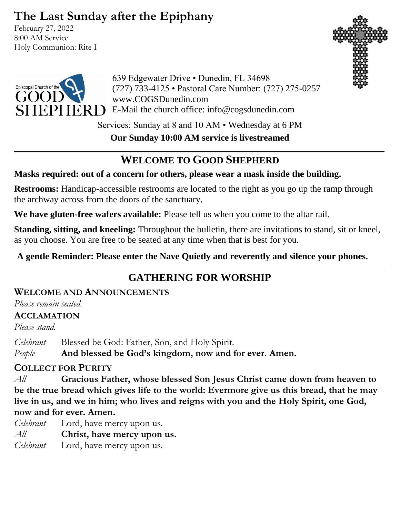# **The Last Sunday after the Epiphany**

February 27, 2022 8:00 AM Service Holy Communion: Rite I





639 Edgewater Drive • Dunedin, FL 34698 (727) 733-4125 • Pastoral Care Number: (727) 275-0257 www.COGSDunedin.com  $\rm PHERD$  E-Mail the church office: info@cogsdunedin.com

> Services: Sunday at 8 and 10 AM • Wednesday at 6 PM **Our Sunday 10:00 AM service is livestreamed**

# **WELCOME TO GOOD SHEPHERD**

## **Masks required: out of a concern for others, please wear a mask inside the building.**

**Restrooms:** Handicap-accessible restrooms are located to the right as you go up the ramp through the archway across from the doors of the sanctuary.

**We have gluten-free wafers available:** Please tell us when you come to the altar rail.

**Standing, sitting, and kneeling:** Throughout the bulletin, there are invitations to stand, sit or kneel, as you choose. You are free to be seated at any time when that is best for you.

**A gentle Reminder: Please enter the Nave Quietly and reverently and silence your phones.**

# **GATHERING FOR WORSHIP**

# **WELCOME AND ANNOUNCEMENTS**

*Please remain seated.*

## **ACCLAMATION**

*Please stand.*

*Celebrant* Blessed be God: Father, Son, and Holy Spirit.

*People* **And blessed be God's kingdom, now and for ever. Amen.**

## **COLLECT FOR PURITY**

*All* **Gracious Father, whose blessed Son Jesus Christ came down from heaven to be the true bread which gives life to the world: Evermore give us this bread, that he may live in us, and we in him; who lives and reigns with you and the Holy Spirit, one God, now and for ever. Amen.**

*Celebrant* Lord, have mercy upon us. *All* **Christ, have mercy upon us.** *Celebrant* Lord, have mercy upon us.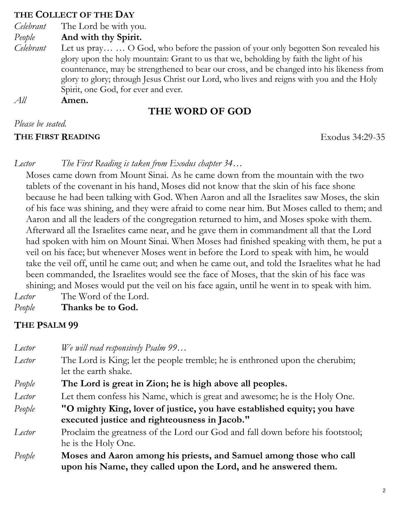#### **THE COLLECT OF THE DAY**

- *Celebrant* The Lord be with you.
- *People* **And with thy Spirit.**
- *Celebrant* Let us pray… … O God, who before the passion of your only begotten Son revealed his glory upon the holy mountain: Grant to us that we, beholding by faith the light of his countenance, may be strengthened to bear our cross, and be changed into his likeness from glory to glory; through Jesus Christ our Lord, who lives and reigns with you and the Holy Spirit, one God, for ever and ever.
- *All* **Amen.**

# **THE WORD OF GOD**

#### *Please be seated.*

#### **THE FIRST READING** Exodus 34:29-35

*Lector The First Reading is taken from Exodus chapter 34…*

Moses came down from Mount Sinai. As he came down from the mountain with the two tablets of the covenant in his hand, Moses did not know that the skin of his face shone because he had been talking with God. When Aaron and all the Israelites saw Moses, the skin of his face was shining, and they were afraid to come near him. But Moses called to them; and Aaron and all the leaders of the congregation returned to him, and Moses spoke with them. Afterward all the Israelites came near, and he gave them in commandment all that the Lord had spoken with him on Mount Sinai. When Moses had finished speaking with them, he put a veil on his face; but whenever Moses went in before the Lord to speak with him, he would take the veil off, until he came out; and when he came out, and told the Israelites what he had been commanded, the Israelites would see the face of Moses, that the skin of his face was shining; and Moses would put the veil on his face again, until he went in to speak with him. *Lector* The Word of the Lord.

*People* **Thanks be to God.**

## **THE PSALM 99**

- *Lector We will read responsively Psalm 99…*
- *Lector* The Lord is King; let the people tremble; he is enthroned upon the cherubim; let the earth shake.
- *People* **The Lord is great in Zion; he is high above all peoples.**
- *Lector* Let them confess his Name, which is great and awesome; he is the Holy One.
- *People* **"O mighty King, lover of justice, you have established equity; you have executed justice and righteousness in Jacob."**
- *Lector* Proclaim the greatness of the Lord our God and fall down before his footstool; he is the Holy One.
- *People* **Moses and Aaron among his priests, and Samuel among those who call upon his Name, they called upon the Lord, and he answered them.**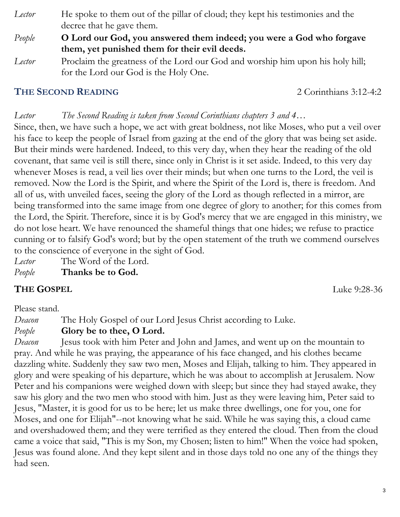- *Lector* He spoke to them out of the pillar of cloud; they kept his testimonies and the decree that he gave them.
- *People* **O Lord our God, you answered them indeed; you were a God who forgave them, yet punished them for their evil deeds.**
- *Lector* Proclaim the greatness of the Lord our God and worship him upon his holy hill; for the Lord our God is the Holy One.

# **THE SECOND READING** 2 Corinthians 3:12-4:2

# *Lector The Second Reading is taken from Second Corinthians chapters 3 and 4…*

Since, then, we have such a hope, we act with great boldness, not like Moses, who put a veil over his face to keep the people of Israel from gazing at the end of the glory that was being set aside. But their minds were hardened. Indeed, to this very day, when they hear the reading of the old covenant, that same veil is still there, since only in Christ is it set aside. Indeed, to this very day whenever Moses is read, a veil lies over their minds; but when one turns to the Lord, the veil is removed. Now the Lord is the Spirit, and where the Spirit of the Lord is, there is freedom. And all of us, with unveiled faces, seeing the glory of the Lord as though reflected in a mirror, are being transformed into the same image from one degree of glory to another; for this comes from the Lord, the Spirit. Therefore, since it is by God's mercy that we are engaged in this ministry, we do not lose heart. We have renounced the shameful things that one hides; we refuse to practice cunning or to falsify God's word; but by the open statement of the truth we commend ourselves to the conscience of everyone in the sight of God.

- *Lector* The Word of the Lord.
- *People* **Thanks be to God.**

# **THE GOSPEL** Luke 9:28-36

Please stand.

*Deacon* The Holy Gospel of our Lord Jesus Christ according to Luke.

*People* **Glory be to thee, O Lord.** 

*Deacon* Jesus took with him Peter and John and James, and went up on the mountain to pray. And while he was praying, the appearance of his face changed, and his clothes became dazzling white. Suddenly they saw two men, Moses and Elijah, talking to him. They appeared in glory and were speaking of his departure, which he was about to accomplish at Jerusalem. Now Peter and his companions were weighed down with sleep; but since they had stayed awake, they saw his glory and the two men who stood with him. Just as they were leaving him, Peter said to Jesus, "Master, it is good for us to be here; let us make three dwellings, one for you, one for Moses, and one for Elijah"--not knowing what he said. While he was saying this, a cloud came and overshadowed them; and they were terrified as they entered the cloud. Then from the cloud came a voice that said, "This is my Son, my Chosen; listen to him!" When the voice had spoken, Jesus was found alone. And they kept silent and in those days told no one any of the things they had seen.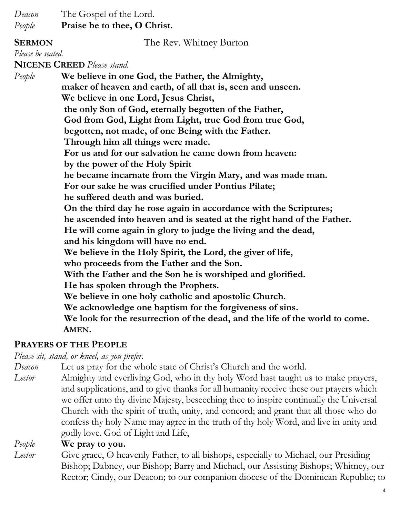*Deacon* The Gospel of the Lord.

*People* **Praise be to thee, O Christ.**

**SERMON** The Rev. Whitney Burton

*Please be seated.*

**NICENE CREED** *Please stand.*

*People* **We believe in one God, the Father, the Almighty, maker of heaven and earth, of all that is, seen and unseen. We believe in one Lord, Jesus Christ, the only Son of God, eternally begotten of the Father, God from God, Light from Light, true God from true God, begotten, not made, of one Being with the Father. Through him all things were made. For us and for our salvation he came down from heaven: by the power of the Holy Spirit he became incarnate from the Virgin Mary, and was made man. For our sake he was crucified under Pontius Pilate; he suffered death and was buried. On the third day he rose again in accordance with the Scriptures; he ascended into heaven and is seated at the right hand of the Father. He will come again in glory to judge the living and the dead, and his kingdom will have no end. We believe in the Holy Spirit, the Lord, the giver of life, who proceeds from the Father and the Son. With the Father and the Son he is worshiped and glorified. He has spoken through the Prophets. We believe in one holy catholic and apostolic Church. We acknowledge one baptism for the forgiveness of sins. We look for the resurrection of the dead, and the life of the world to come. AMEN.**

## **PRAYERS OF THE PEOPLE**

*Please sit, stand, or kneel, as you prefer.*

*Deacon* Let us pray for the whole state of Christ's Church and the world.

*Lector* Almighty and everliving God, who in thy holy Word hast taught us to make prayers, and supplications, and to give thanks for all humanity receive these our prayers which we offer unto thy divine Majesty, beseeching thee to inspire continually the Universal Church with the spirit of truth, unity, and concord; and grant that all those who do confess thy holy Name may agree in the truth of thy holy Word, and live in unity and godly love. God of Light and Life,

## *People* **We pray to you.**

*Lector* Give grace, O heavenly Father, to all bishops, especially to Michael, our Presiding Bishop; Dabney, our Bishop; Barry and Michael, our Assisting Bishops; Whitney, our Rector; Cindy, our Deacon; to our companion diocese of the Dominican Republic; to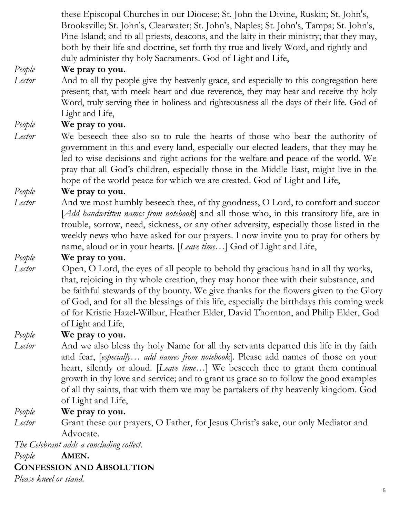these Episcopal Churches in our Diocese; St. John the Divine, Ruskin; St. John's, Brooksville; St. John's, Clearwater; St. John's, Naples; St. John's, Tampa; St. John's, Pine Island; and to all priests, deacons, and the laity in their ministry; that they may, both by their life and doctrine, set forth thy true and lively Word, and rightly and duly administer thy holy Sacraments. God of Light and Life,

## *People* **We pray to you.**

*Lector* And to all thy people give thy heavenly grace, and especially to this congregation here present; that, with meek heart and due reverence, they may hear and receive thy holy Word, truly serving thee in holiness and righteousness all the days of their life. God of Light and Life,

*People* **We pray to you.**

*Lector* We beseech thee also so to rule the hearts of those who bear the authority of government in this and every land, especially our elected leaders, that they may be led to wise decisions and right actions for the welfare and peace of the world. We pray that all God's children, especially those in the Middle East, might live in the hope of the world peace for which we are created. God of Light and Life,

## *People* **We pray to you.**

*Lector* And we most humbly beseech thee, of thy goodness, O Lord, to comfort and succor [*Add handwritten names from notebook*] and all those who, in this transitory life, are in trouble, sorrow, need, sickness, or any other adversity, especially those listed in the weekly news who have asked for our prayers. I now invite you to pray for others by name, aloud or in your hearts. [*Leave time…*] God of Light and Life,

## *People* **We pray to you.**

*Lector* Open, O Lord, the eyes of all people to behold thy gracious hand in all thy works, that, rejoicing in thy whole creation, they may honor thee with their substance, and be faithful stewards of thy bounty. We give thanks for the flowers given to the Glory of God, and for all the blessings of this life, especially the birthdays this coming week of for Kristie Hazel-Wilbur, Heather Elder, David Thornton, and Philip Elder, God of Light and Life,

## *People* **We pray to you.**

*Lector* And we also bless thy holy Name for all thy servants departed this life in thy faith and fear, [*especially… add names from notebook*]. Please add names of those on your heart, silently or aloud. [*Leave time…*] We beseech thee to grant them continual growth in thy love and service; and to grant us grace so to follow the good examples of all thy saints, that with them we may be partakers of thy heavenly kingdom. God of Light and Life,

## *People* **We pray to you.**

*Lector* Grant these our prayers, O Father, for Jesus Christ's sake, our only Mediator and Advocate.

*The Celebrant adds a concluding collect.* 

*People* **AMEN.**

#### **CONFESSION AND ABSOLUTION**

*Please kneel or stand.*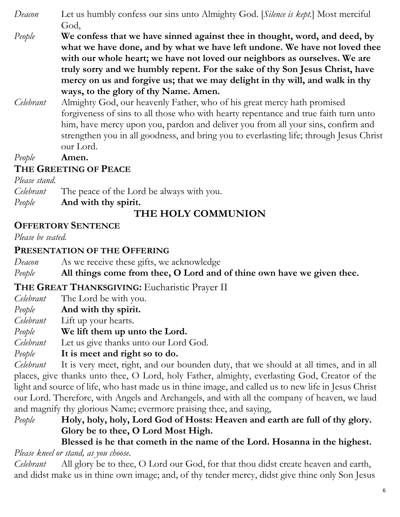- *Deacon* Let us humbly confess our sins unto Almighty God. [*Silence is kept.*] Most merciful God,
- *People* **We confess that we have sinned against thee in thought, word, and deed, by what we have done, and by what we have left undone. We have not loved thee with our whole heart; we have not loved our neighbors as ourselves. We are truly sorry and we humbly repent. For the sake of thy Son Jesus Christ, have mercy on us and forgive us; that we may delight in thy will, and walk in thy ways, to the glory of thy Name. Amen.**
- *Celebrant* Almighty God, our heavenly Father, who of his great mercy hath promised forgiveness of sins to all those who with hearty repentance and true faith turn unto him, have mercy upon you, pardon and deliver you from all your sins, confirm and strengthen you in all goodness, and bring you to everlasting life; through Jesus Christ our Lord.

## *People* **Amen.**

# **THE GREETING OF PEACE**

#### *Please stand.*

*Celebrant* The peace of the Lord be always with you.

#### *People* **And with thy spirit.**

# **THE HOLY COMMUNION**

## **OFFERTORY SENTENCE**

*Please be seated.*

## **PRESENTATION OF THE OFFERING**

*Deacon* As we receive these gifts, we acknowledge

*People* **All things come from thee, O Lord and of thine own have we given thee.**

## **THE GREAT THANKSGIVING:** Eucharistic Prayer II

- *Celebrant* The Lord be with you.
- *People* **And with thy spirit.**
- *Celebrant* Lift up your hearts.
- *People* **We lift them up unto the Lord.**
- *Celebrant* Let us give thanks unto our Lord God.
- *People* **It is meet and right so to do.**

*Celebrant* It is very meet, right, and our bounden duty, that we should at all times, and in all places, give thanks unto thee, O Lord, holy Father, almighty, everlasting God, Creator of the light and source of life, who hast made us in thine image, and called us to new life in Jesus Christ our Lord. Therefore, with Angels and Archangels, and with all the company of heaven, we laud and magnify thy glorious Name; evermore praising thee, and saying,

*People* **Holy, holy, holy, Lord God of Hosts: Heaven and earth are full of thy glory. Glory be to thee, O Lord Most High.** 

#### **Blessed is he that cometh in the name of the Lord. Hosanna in the highest.** *Please kneel or stand, as you choose.*

*Celebrant* All glory be to thee, O Lord our God, for that thou didst create heaven and earth, and didst make us in thine own image; and, of thy tender mercy, didst give thine only Son Jesus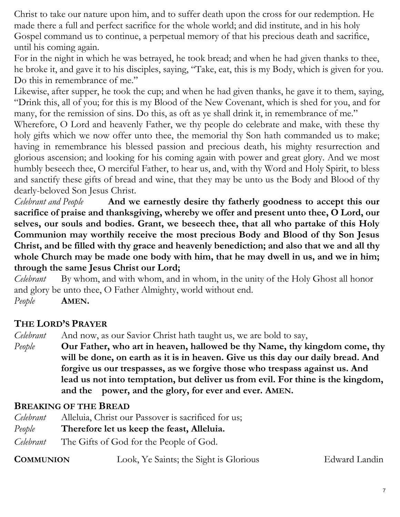Christ to take our nature upon him, and to suffer death upon the cross for our redemption. He made there a full and perfect sacrifice for the whole world; and did institute, and in his holy Gospel command us to continue, a perpetual memory of that his precious death and sacrifice, until his coming again.

For in the night in which he was betrayed, he took bread; and when he had given thanks to thee, he broke it, and gave it to his disciples, saying, "Take, eat, this is my Body, which is given for you. Do this in remembrance of me."

Likewise, after supper, he took the cup; and when he had given thanks, he gave it to them, saying, "Drink this, all of you; for this is my Blood of the New Covenant, which is shed for you, and for many, for the remission of sins. Do this, as oft as ye shall drink it, in remembrance of me."

Wherefore, O Lord and heavenly Father, we thy people do celebrate and make, with these thy holy gifts which we now offer unto thee, the memorial thy Son hath commanded us to make; having in remembrance his blessed passion and precious death, his mighty resurrection and glorious ascension; and looking for his coming again with power and great glory. And we most humbly beseech thee, O merciful Father, to hear us, and, with thy Word and Holy Spirit, to bless and sanctify these gifts of bread and wine, that they may be unto us the Body and Blood of thy dearly-beloved Son Jesus Christ.

*Celebrant and People* **And we earnestly desire thy fatherly goodness to accept this our sacrifice of praise and thanksgiving, whereby we offer and present unto thee, O Lord, our selves, our souls and bodies. Grant, we beseech thee, that all who partake of this Holy Communion may worthily receive the most precious Body and Blood of thy Son Jesus Christ, and be filled with thy grace and heavenly benediction; and also that we and all thy whole Church may be made one body with him, that he may dwell in us, and we in him; through the same Jesus Christ our Lord;** 

*Celebrant* By whom, and with whom, and in whom, in the unity of the Holy Ghost all honor and glory be unto thee, O Father Almighty, world without end.

*People* **AMEN.**

## **THE LORD'S PRAYER**

*Celebrant* And now, as our Savior Christ hath taught us, we are bold to say,

*People* **Our Father, who art in heaven, hallowed be thy Name, thy kingdom come, thy will be done, on earth as it is in heaven. Give us this day our daily bread. And forgive us our trespasses, as we forgive those who trespass against us. And lead us not into temptation, but deliver us from evil. For thine is the kingdom, and the power, and the glory, for ever and ever. AMEN.**

## **BREAKING OF THE BREAD**

| Celebrant | Alleluia, Christ our Passover is sacrificed for us; |
|-----------|-----------------------------------------------------|
| People    | Therefore let us keep the feast, Alleluia.          |
| Celebrant | The Gifts of God for the People of God.             |

| <b>COMMUNION</b> | Look, Ye Saints; the Sight is Glorious | Edward Landin |
|------------------|----------------------------------------|---------------|
|------------------|----------------------------------------|---------------|